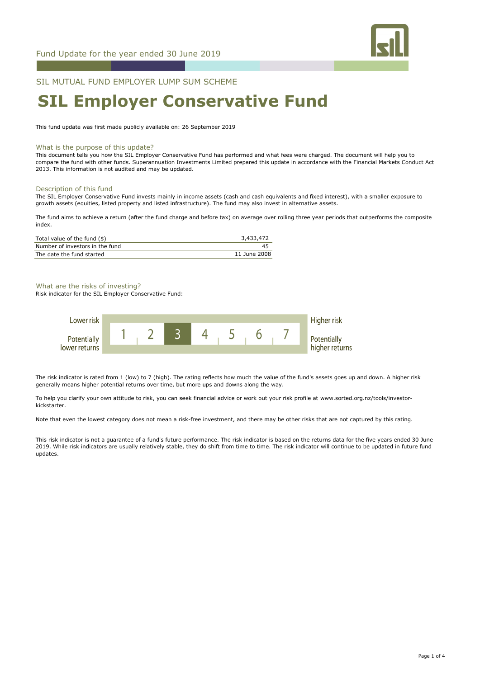

## SIL MUTUAL FUND EMPLOYER LUMP SUM SCHEME

# **SIL Employer Conservative Fund**

This fund update was first made publicly available on: 26 September 2019

#### What is the purpose of this update?

This document tells you how the SIL Employer Conservative Fund has performed and what fees were charged. The document will help you to compare the fund with other funds. Superannuation Investments Limited prepared this update in accordance with the Financial Markets Conduct Act 2013. This information is not audited and may be updated.

#### Description of this fund

The SIL Employer Conservative Fund invests mainly in income assets (cash and cash equivalents and fixed interest), with a smaller exposure to growth assets (equities, listed property and listed infrastructure). The fund may also invest in alternative assets.

The fund aims to achieve a return (after the fund charge and before tax) on average over rolling three year periods that outperforms the composite index.

| Total value of the fund $(\$)$  | 3,433,472    |
|---------------------------------|--------------|
| Number of investors in the fund | 45           |
| The date the fund started       | 11 June 2008 |

## What are the risks of investing?

Risk indicator for the SIL Employer Conservative Fund:



The risk indicator is rated from 1 (low) to 7 (high). The rating reflects how much the value of the fund's assets goes up and down. A higher risk generally means higher potential returns over time, but more ups and downs along the way.

To help you clarify your own attitude to risk, you can seek financial advice or work out your risk profile at www.sorted.org.nz/tools/investorkickstarter.

Note that even the lowest category does not mean a risk-free investment, and there may be other risks that are not captured by this rating.

This risk indicator is not a guarantee of a fund's future performance. The risk indicator is based on the returns data for the five years ended 30 June 2019. While risk indicators are usually relatively stable, they do shift from time to time. The risk indicator will continue to be updated in future fund updates.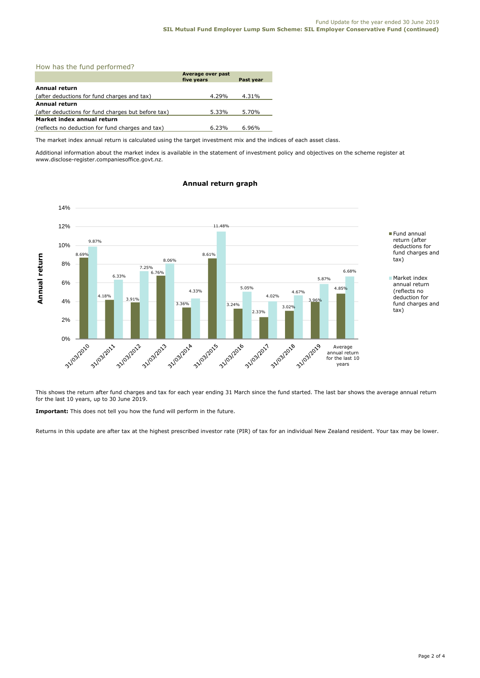## How has the fund performed?

|                                                    | Average over past<br>five years | Past year |  |
|----------------------------------------------------|---------------------------------|-----------|--|
| Annual return                                      |                                 |           |  |
| (after deductions for fund charges and tax)        | 4.29%                           | 4.31%     |  |
| <b>Annual return</b>                               |                                 |           |  |
| (after deductions for fund charges but before tax) | 5.33%                           | 5.70%     |  |
| Market index annual return                         |                                 |           |  |
| (reflects no deduction for fund charges and tax)   | 6.23%                           | 6.96%     |  |

The market index annual return is calculated using the target investment mix and the indices of each asset class.

Additional information about the market index is available in the statement of investment policy and objectives on the scheme register at www.disclose-register.companiesoffice.govt.nz.



## **Annual return graph**

This shows the return after fund charges and tax for each year ending 31 March since the fund started. The last bar shows the average annual return for the last 10 years, up to 30 June 2019.

**Important:** This does not tell you how the fund will perform in the future.

Returns in this update are after tax at the highest prescribed investor rate (PIR) of tax for an individual New Zealand resident. Your tax may be lower.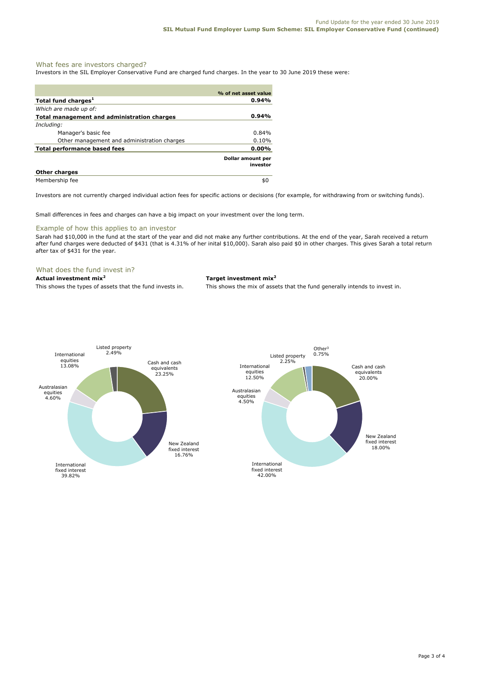## What fees are investors charged?

Investors in the SIL Employer Conservative Fund are charged fund charges. In the year to 30 June 2019 these were:

|                                             | % of net asset value          |
|---------------------------------------------|-------------------------------|
| Total fund charges <sup>1</sup>             | 0.94%                         |
| Which are made up of:                       |                               |
| Total management and administration charges | 0.94%                         |
| Including:                                  |                               |
| Manager's basic fee                         | $0.84\%$                      |
| Other management and administration charges | 0.10%                         |
| <b>Total performance based fees</b>         | $0.00\%$                      |
|                                             | Dollar amount per<br>investor |
| <b>Other charges</b>                        |                               |
| Membership fee                              | \$0                           |

Investors are not currently charged individual action fees for specific actions or decisions (for example, for withdrawing from or switching funds).

Small differences in fees and charges can have a big impact on your investment over the long term.

#### Example of how this applies to an investor

Sarah had \$10,000 in the fund at the start of the year and did not make any further contributions. At the end of the year, Sarah received a return after fund charges were deducted of \$431 (that is 4.31% of her inital \$10,000). Sarah also paid \$0 in other charges. This gives Sarah a total return after tax of \$431 for the year.

### What does the fund invest in?

## **Actual investment mix<sup>2</sup> Target investment mix<sup>2</sup>**

This shows the types of assets that the fund invests in. This shows the mix of assets that the fund generally intends to invest in.